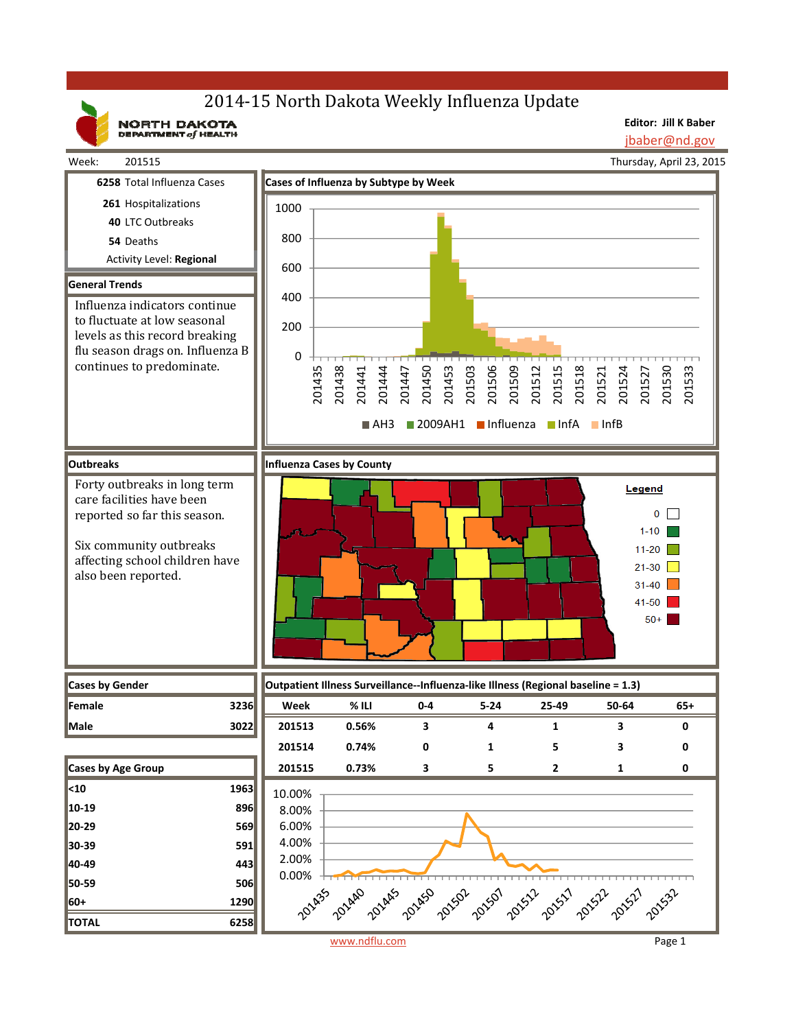# 2014-15 North Dakota Weekly Influenza Update

NORTH DAKOTA

**Editor: Jill K Baber** jbaber@nd.gov

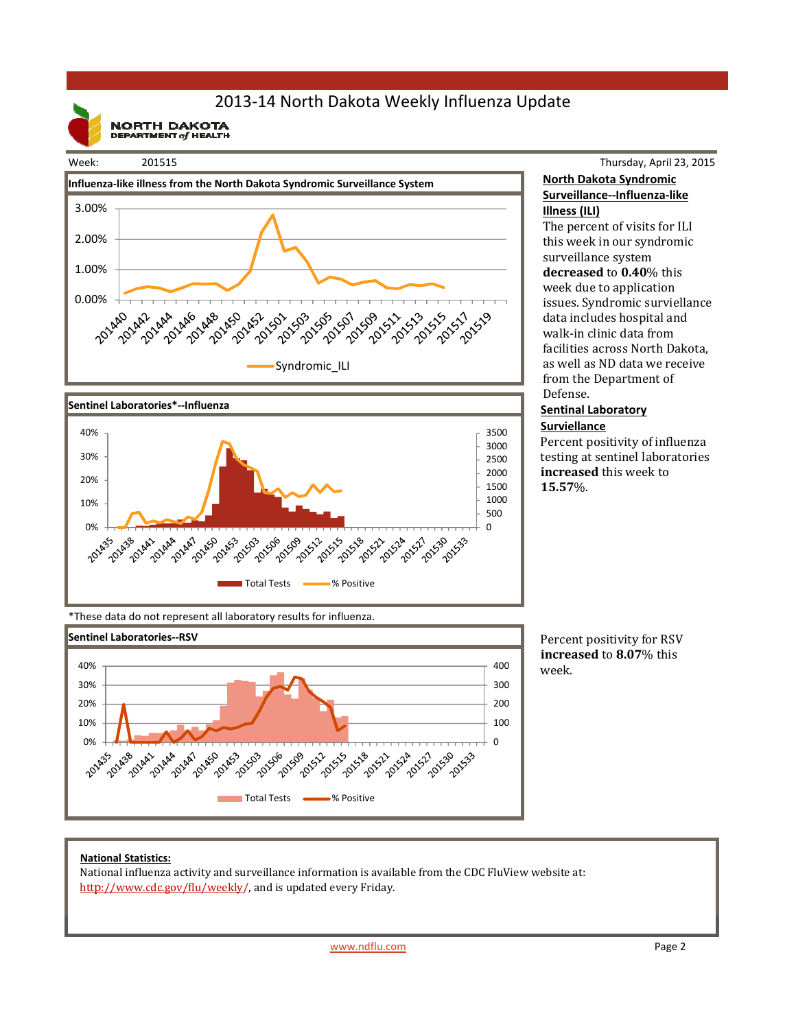## 2013‐14 North Dakota Weekly Influenza Update

**NORTH DAKOTA**<br>DEPARTMENT of HEALTH

#### Week: 201515





### Thursday, April 23, 2015 **North Dakota Syndromic Surveillance‐‐Influenza‐like Illness (ILI)**

The percent of visits for ILI this week in our syndromic surveillance system **decreased** to **0.40**% this week due to application issues. Syndromic surviellance data includes hospital and walk-in clinic data from facilities across North Dakota, as well as ND data we receive from the Department of Defense. 

#### **Sentinal Laboratory Surviellance**

Percent positivity of influenza testing at sentinel laboratories **increased** this week to **15.57**%. 

\*These data do not represent all laboratory results for influenza.



Percent positivity for RSV **increased** to 8.07% this week.

### **National Statistics:**

National influenza activity and surveillance information is available from the CDC FluView website at: http://www.cdc.gov/flu/weekly/, and is updated every Friday.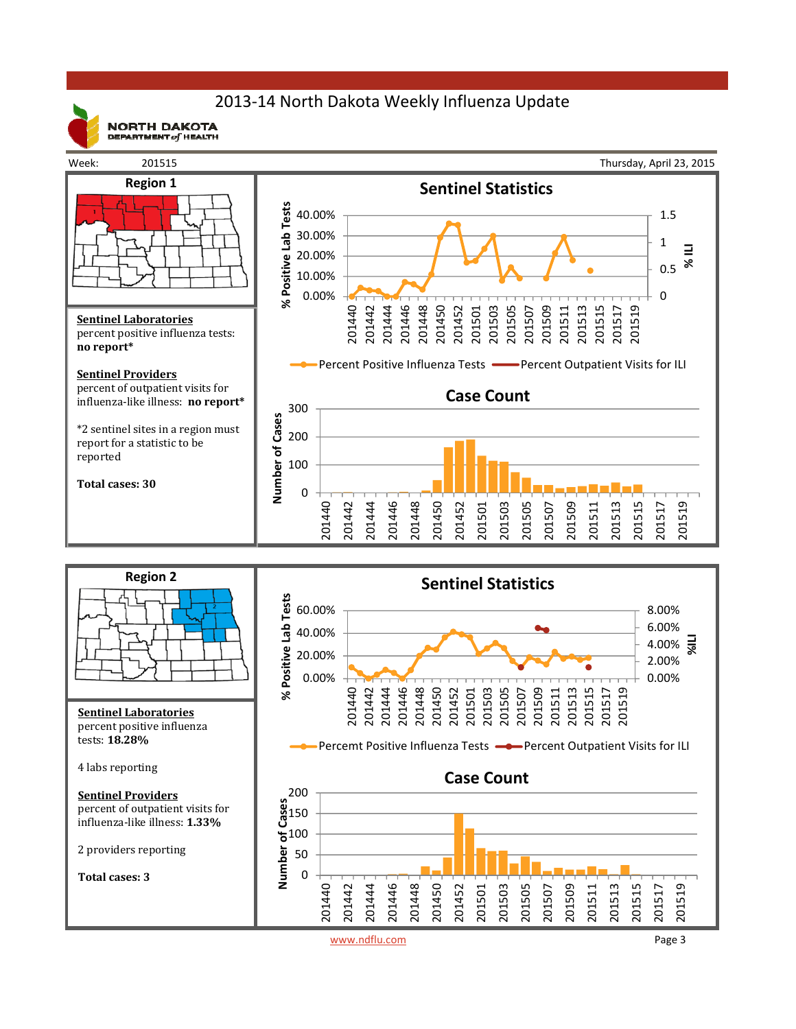## 2013‐14 North Dakota Weekly Influenza Update



**NORTH DAKOTA** DEPARTMENT  $of$  HEALTH